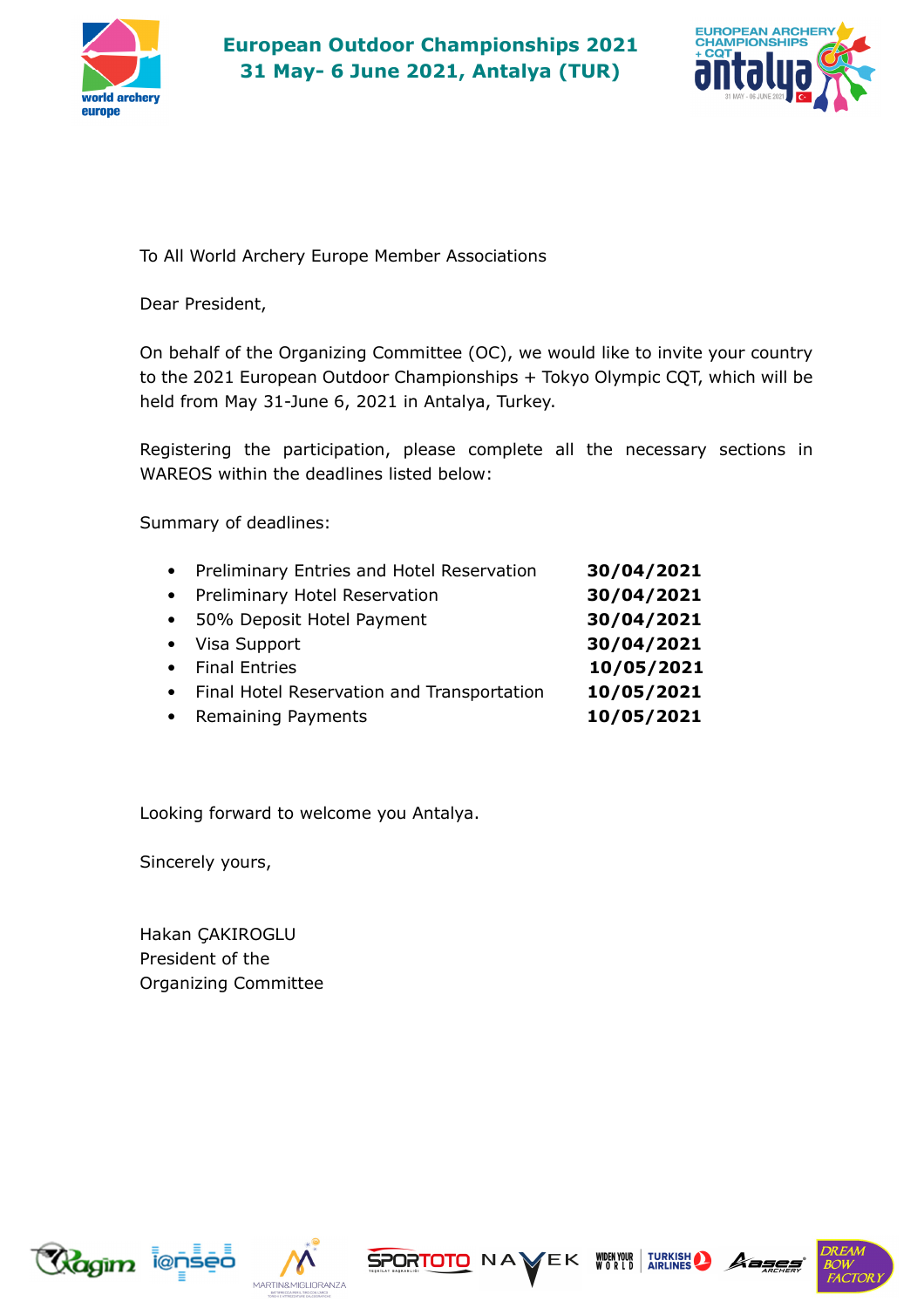



To All World Archery Europe Member Associations

Dear President,

On behalf of the Organizing Committee (OC), we would like to invite your country to the 2021 European Outdoor Championships + Tokyo Olympic CQT, which will be held from May 31-June 6, 2021 in Antalya, Turkey.

Registering the participation, please complete all the necessary sections in WAREOS within the deadlines listed below:

Summary of deadlines:

| • Preliminary Entries and Hotel Reservation  | 30/04/2021 |
|----------------------------------------------|------------|
| • Preliminary Hotel Reservation              | 30/04/2021 |
| • 50% Deposit Hotel Payment                  | 30/04/2021 |
| • Visa Support                               | 30/04/2021 |
| • Final Entries                              | 10/05/2021 |
| • Final Hotel Reservation and Transportation | 10/05/2021 |
| • Remaining Payments                         | 10/05/2021 |

Looking forward to welcome you Antalya.

Sincerely yours,

Hakan ÇAKIROGLU President of the Organizing Committee







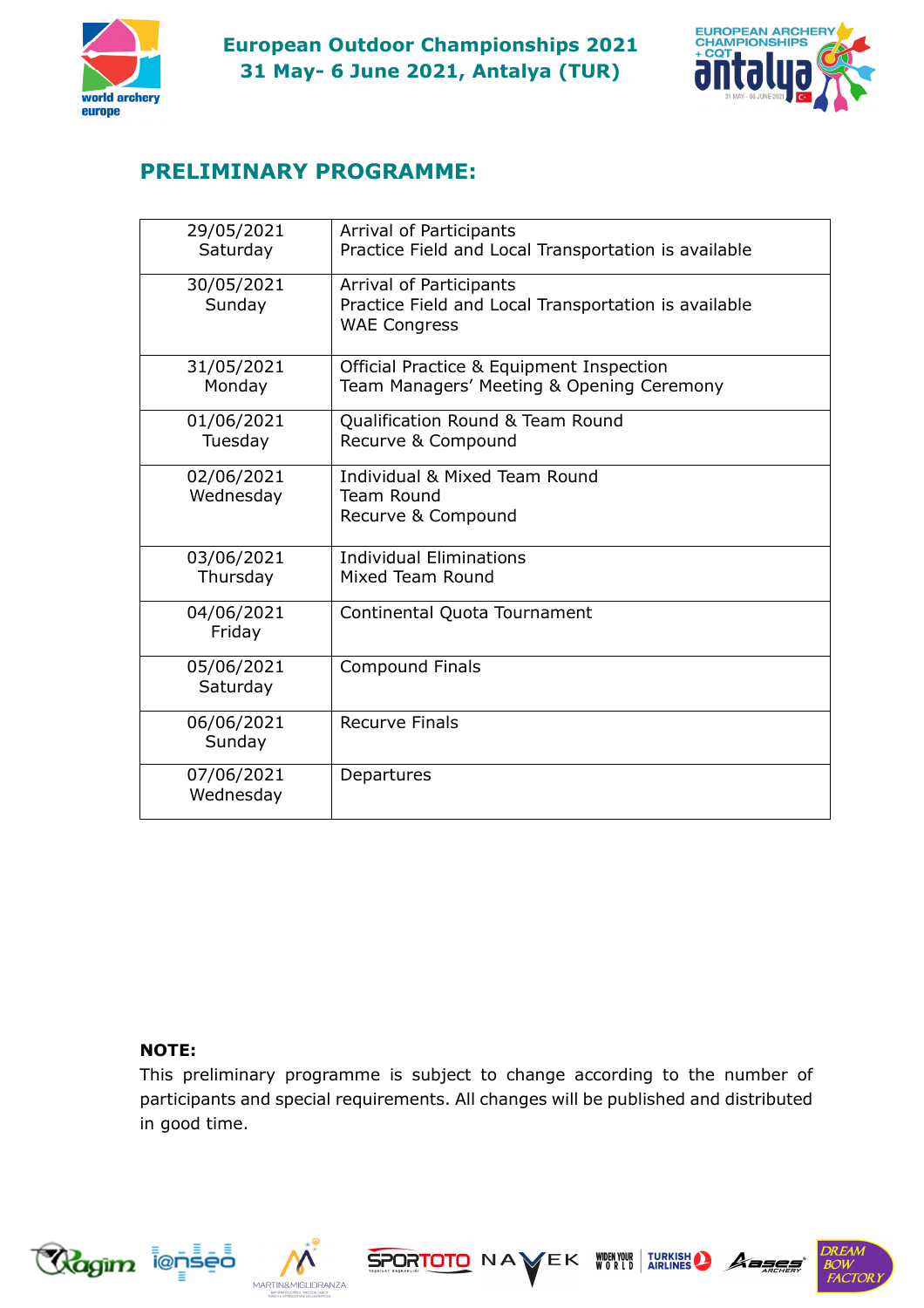



# **PRELIMINARY PROGRAMME:**

| 29/05/2021<br>Saturday  | Arrival of Participants<br>Practice Field and Local Transportation is available                        |
|-------------------------|--------------------------------------------------------------------------------------------------------|
| 30/05/2021<br>Sunday    | Arrival of Participants<br>Practice Field and Local Transportation is available<br><b>WAE Congress</b> |
| 31/05/2021<br>Monday    | Official Practice & Equipment Inspection<br>Team Managers' Meeting & Opening Ceremony                  |
| 01/06/2021<br>Tuesday   | Qualification Round & Team Round<br>Recurve & Compound                                                 |
| 02/06/2021<br>Wednesday | Individual & Mixed Team Round<br>Team Round<br>Recurve & Compound                                      |
| 03/06/2021<br>Thursday  | <b>Individual Eliminations</b><br>Mixed Team Round                                                     |
| 04/06/2021<br>Friday    | Continental Quota Tournament                                                                           |
| 05/06/2021<br>Saturday  | <b>Compound Finals</b>                                                                                 |
| 06/06/2021<br>Sunday    | <b>Recurve Finals</b>                                                                                  |
| 07/06/2021<br>Wednesday | Departures                                                                                             |

### **NOTE:**

This preliminary programme is subject to change according to the number of participants and special requirements. All changes will be published and distributed in good time.

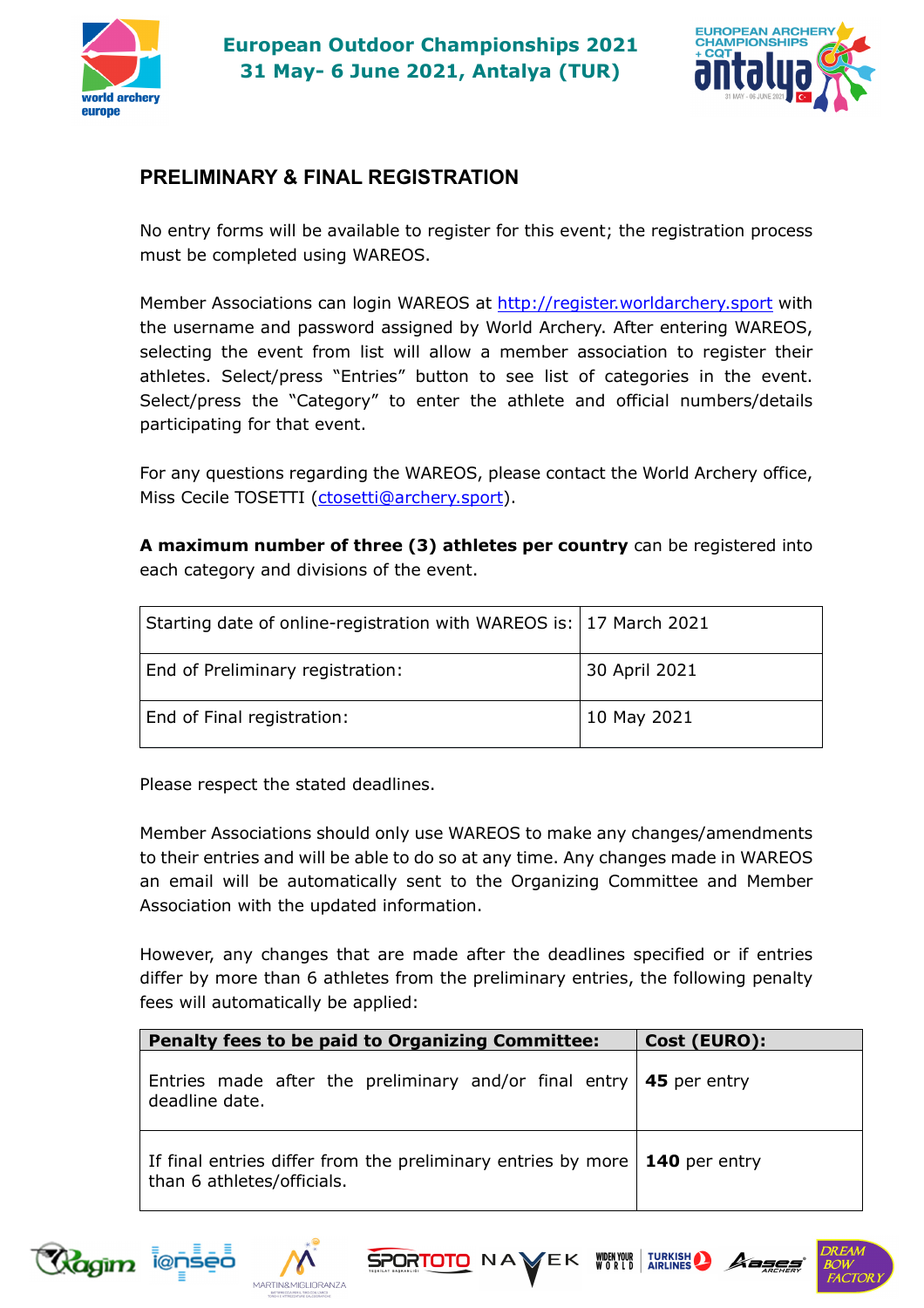



# **PRELIMINARY & FINAL REGISTRATION**

No entry forms will be available to register for this event; the registration process must be completed using WAREOS.

Member Associations can login WAREOS at http://register.worldarchery.sport with the username and password assigned by World Archery. After entering WAREOS, selecting the event from list will allow a member association to register their athletes. Select/press "Entries" button to see list of categories in the event. Select/press the "Category" to enter the athlete and official numbers/details participating for that event.

For any questions regarding the WAREOS, please contact the World Archery office, Miss Cecile TOSETTI (ctosetti@archery.sport).

**A maximum number of three (3) athletes per country** can be registered into each category and divisions of the event.

| Starting date of online-registration with WAREOS is:   17 March 2021 |               |
|----------------------------------------------------------------------|---------------|
| End of Preliminary registration:                                     | 30 April 2021 |
| End of Final registration:                                           | 10 May 2021   |

Please respect the stated deadlines.

Member Associations should only use WAREOS to make any changes/amendments to their entries and will be able to do so at any time. Any changes made in WAREOS an email will be automatically sent to the Organizing Committee and Member Association with the updated information.

However, any changes that are made after the deadlines specified or if entries differ by more than 6 athletes from the preliminary entries, the following penalty fees will automatically be applied:

| <b>Penalty fees to be paid to Organizing Committee:</b>                                                          | Cost (EURO): |
|------------------------------------------------------------------------------------------------------------------|--------------|
| Entries made after the preliminary and/or final entry $\vert$ 45 per entry<br>deadline date.                     |              |
| If final entries differ from the preliminary entries by more $\vert$ 140 per entry<br>than 6 athletes/officials. |              |





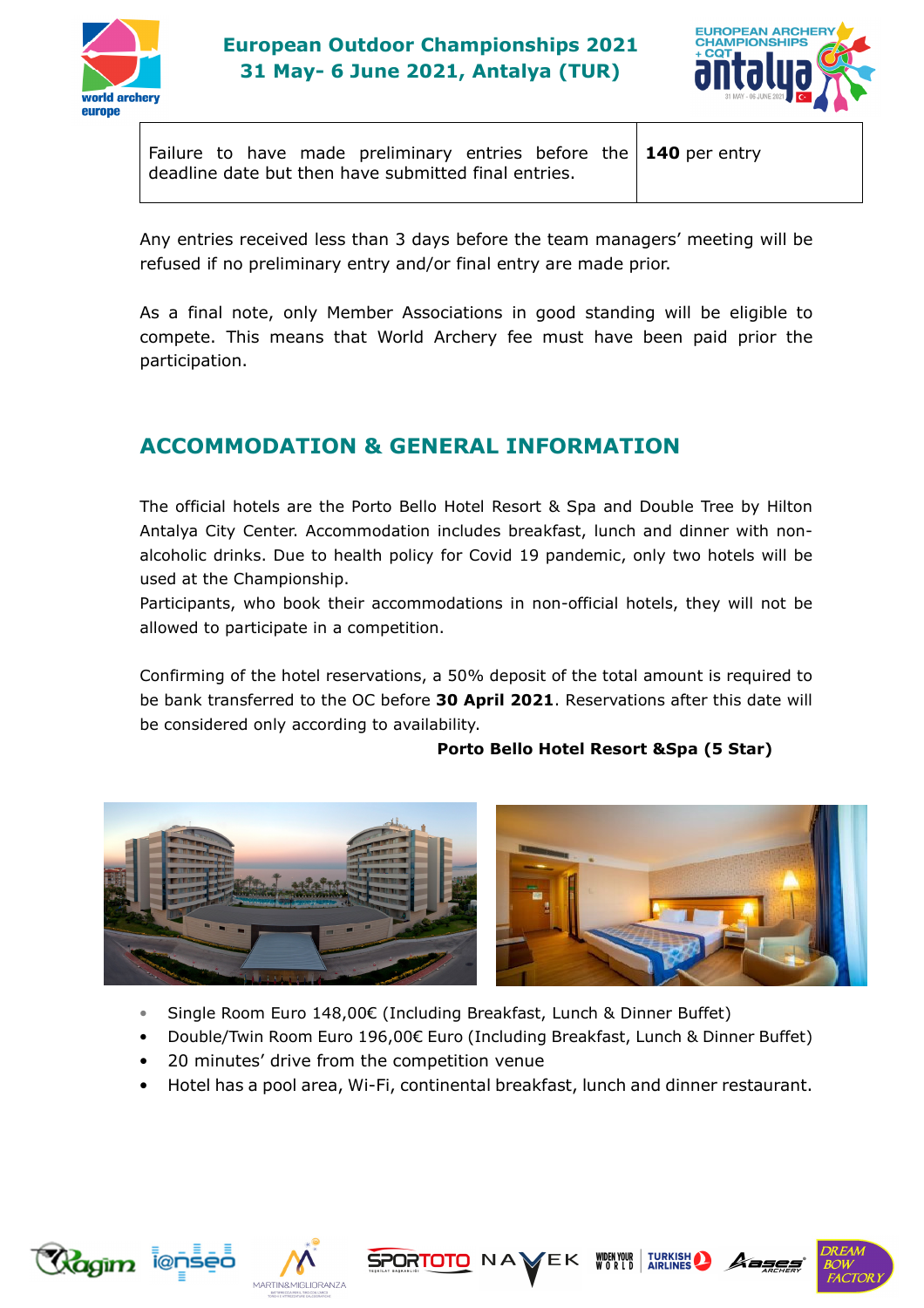



Failure to have made preliminary entries before the deadline date but then have submitted final entries. **140** per entry

Any entries received less than 3 days before the team managers' meeting will be refused if no preliminary entry and/or final entry are made prior.

As a final note, only Member Associations in good standing will be eligible to compete. This means that World Archery fee must have been paid prior the participation.

# **ACCOMMODATION & GENERAL INFORMATION**

The official hotels are the Porto Bello Hotel Resort & Spa and Double Tree by Hilton Antalya City Center. Accommodation includes breakfast, lunch and dinner with nonalcoholic drinks. Due to health policy for Covid 19 pandemic, only two hotels will be used at the Championship.

Participants, who book their accommodations in non-official hotels, they will not be allowed to participate in a competition.

Confirming of the hotel reservations, a 50% deposit of the total amount is required to be bank transferred to the OC before **30 April 2021**. Reservations after this date will be considered only according to availability.

#### **Porto Bello Hotel Resort &Spa (5 Star)**



- Single Room Euro 148,00€ (Including Breakfast, Lunch & Dinner Buffet)
- Double/Twin Room Euro 196,00€ Euro (Including Breakfast, Lunch & Dinner Buffet)
- 20 minutes' drive from the competition venue
- Hotel has a pool area, Wi-Fi, continental breakfast, lunch and dinner restaurant.







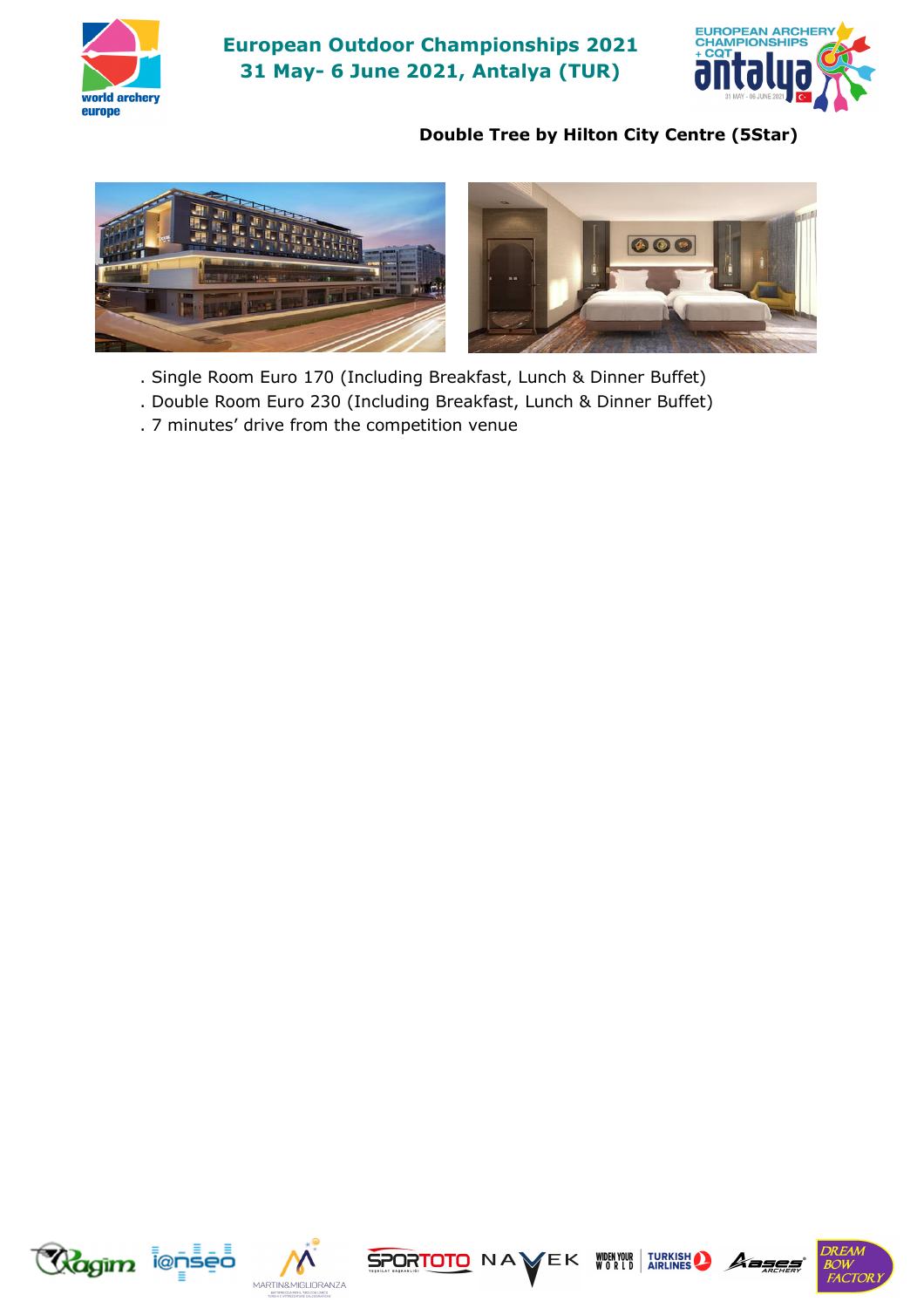

 **European Outdoor Championships 2021 31 May- 6 June 2021, Antalya (TUR)** 



### **Double Tree by Hilton City Centre (5Star)**



- . Single Room Euro 170 (Including Breakfast, Lunch & Dinner Buffet)
- . Double Room Euro 230 (Including Breakfast, Lunch & Dinner Buffet)
- . 7 minutes' drive from the competition venue











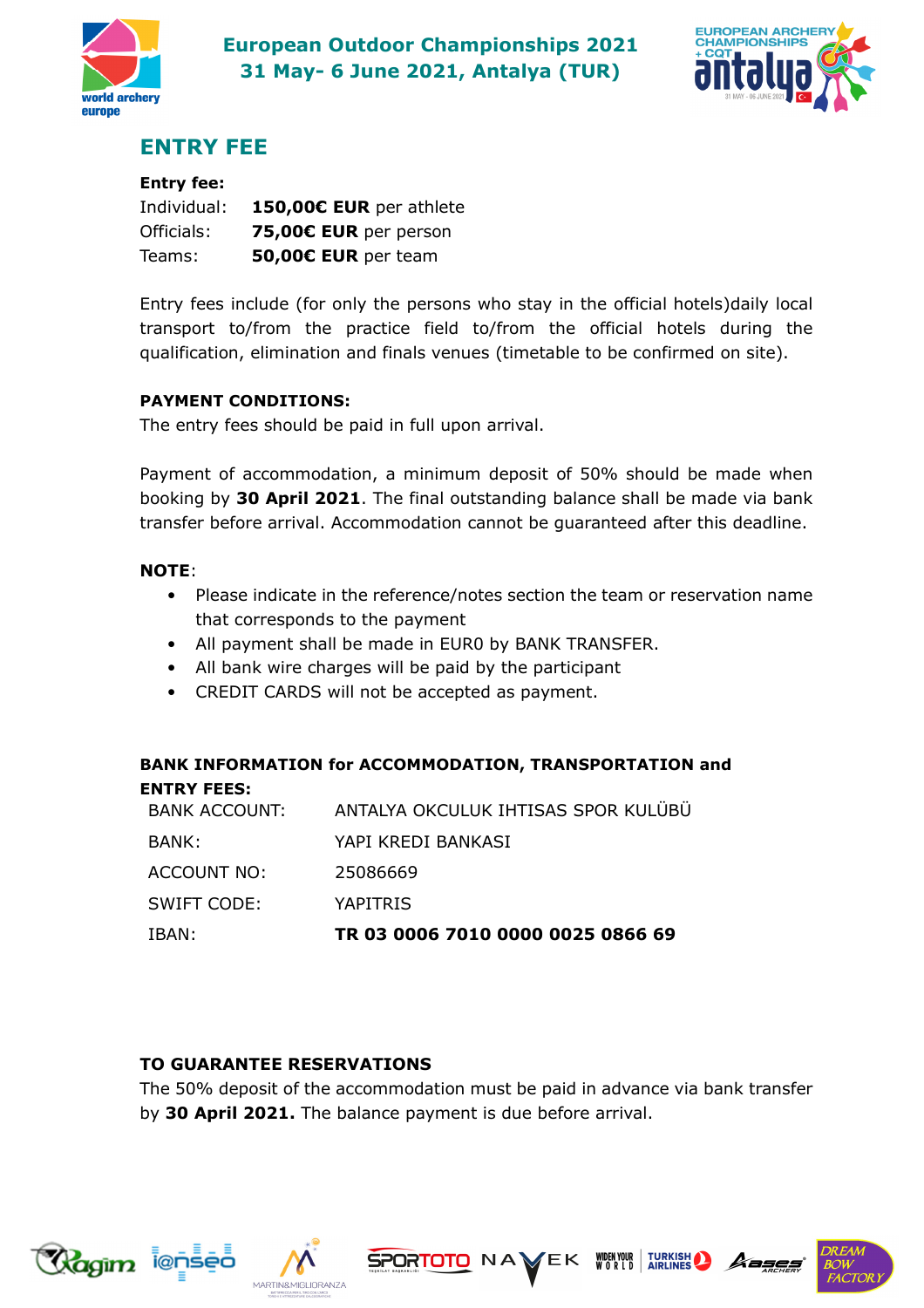



# **ENTRY FEE**

### **Entry fee:**

| Individual: | 150,00€ EUR per athlete |
|-------------|-------------------------|
| Officials:  | 75,00€ EUR per person   |
| Teams:      | 50,00€ EUR per team     |

Entry fees include (for only the persons who stay in the official hotels)daily local transport to/from the practice field to/from the official hotels during the qualification, elimination and finals venues (timetable to be confirmed on site).

#### **PAYMENT CONDITIONS:**

The entry fees should be paid in full upon arrival.

Payment of accommodation, a minimum deposit of 50% should be made when booking by **30 April 2021**. The final outstanding balance shall be made via bank transfer before arrival. Accommodation cannot be guaranteed after this deadline.

### **NOTE**:

- Please indicate in the reference/notes section the team or reservation name that corresponds to the payment
- All payment shall be made in EUR0 by BANK TRANSFER.
- All bank wire charges will be paid by the participant
- CREDIT CARDS will not be accepted as payment.

#### **BANK INFORMATION for ACCOMMODATION, TRANSPORTATION and ENTRY FEES:**

| IBAN:         | TR 03 0006 7010 0000 0025 0866 69   |
|---------------|-------------------------------------|
| SWIFT CODE:   | YAPITRIS                            |
| ACCOUNT NO:   | 25086669                            |
| BANK:         | YAPI KREDI BANKASI                  |
| BANK ACCOUNT: | ANTALYA OKCULUK IHTISAS SPOR KULÜBÜ |

### **TO GUARANTEE RESERVATIONS**

The 50% deposit of the accommodation must be paid in advance via bank transfer by **30 April 2021.** The balance payment is due before arrival.







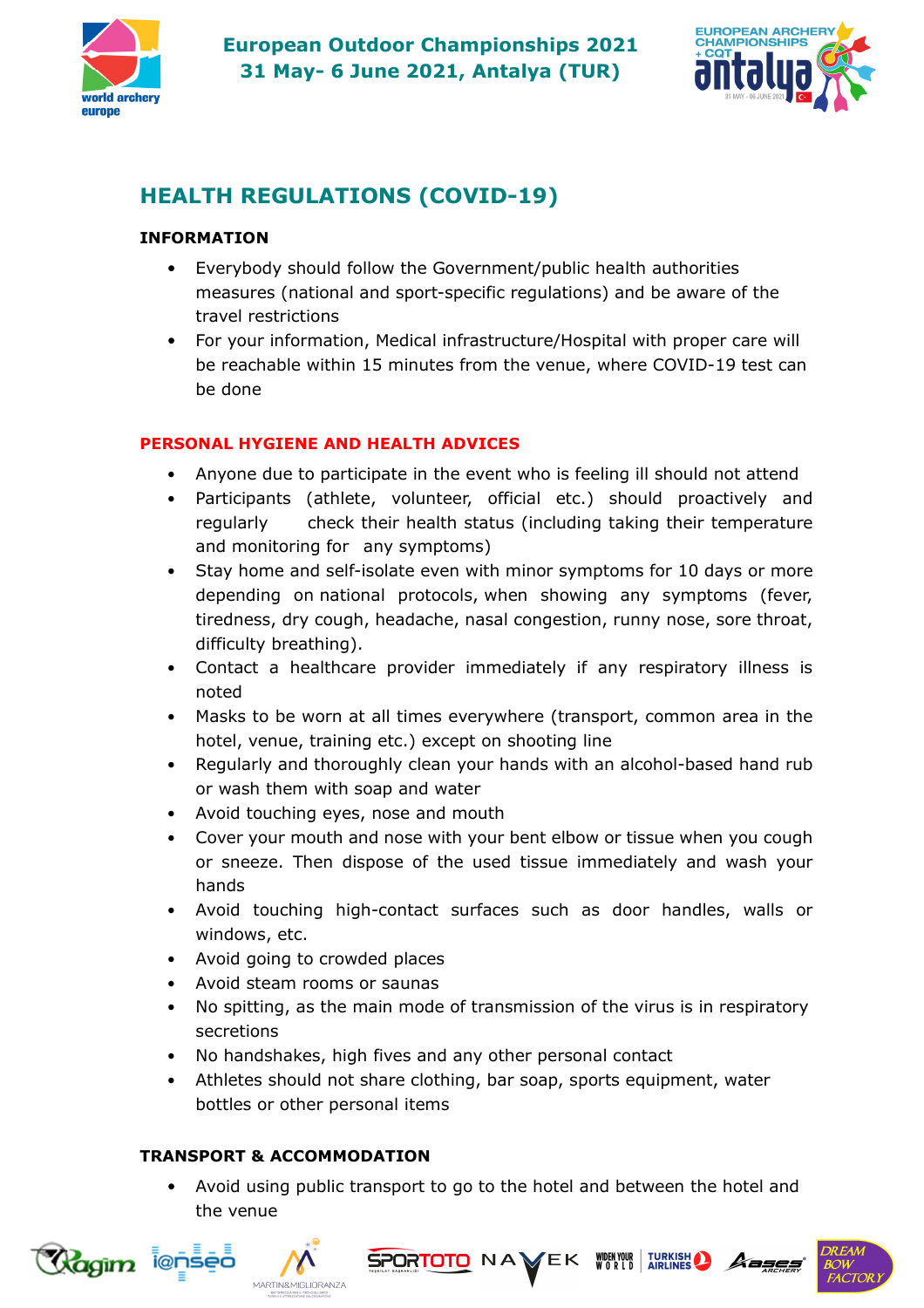



# **HEALTH REGULATIONS (COVID-19)**

### **INFORMATION**

- Everybody should follow the Government/public health authorities measures (national and sport-specific regulations) and be aware of the travel restrictions
- For your information, Medical infrastructure/Hospital with proper care will be reachable within 15 minutes from the venue, where COVID-19 test can be done

### **PERSONAL HYGIENE AND HEALTH ADVICES**

- Anyone due to participate in the event who is feeling ill should not attend
- Participants (athlete, volunteer, official etc.) should proactively and regularly check their health status (including taking their temperature and monitoring for any symptoms)
- Stay home and self-isolate even with minor symptoms for 10 days or more depending on national protocols, when showing any symptoms (fever, tiredness, dry cough, headache, nasal congestion, runny nose, sore throat, difficulty breathing).
- Contact a healthcare provider immediately if any respiratory illness is noted
- Masks to be worn at all times everywhere (transport, common area in the hotel, venue, training etc.) except on shooting line
- Regularly and thoroughly clean your hands with an alcohol-based hand rub or wash them with soap and water
- Avoid touching eyes, nose and mouth
- Cover your mouth and nose with your bent elbow or tissue when you cough or sneeze. Then dispose of the used tissue immediately and wash your hands
- Avoid touching high-contact surfaces such as door handles, walls or windows, etc.
- Avoid going to crowded places
- Avoid steam rooms or saunas
- No spitting, as the main mode of transmission of the virus is in respiratory secretions
- No handshakes, high fives and any other personal contact
- Athletes should not share clothing, bar soap, sports equipment, water bottles or other personal items

### **TRANSPORT & ACCOMMODATION**

• Avoid using public transport to go to the hotel and between the hotel and the venue





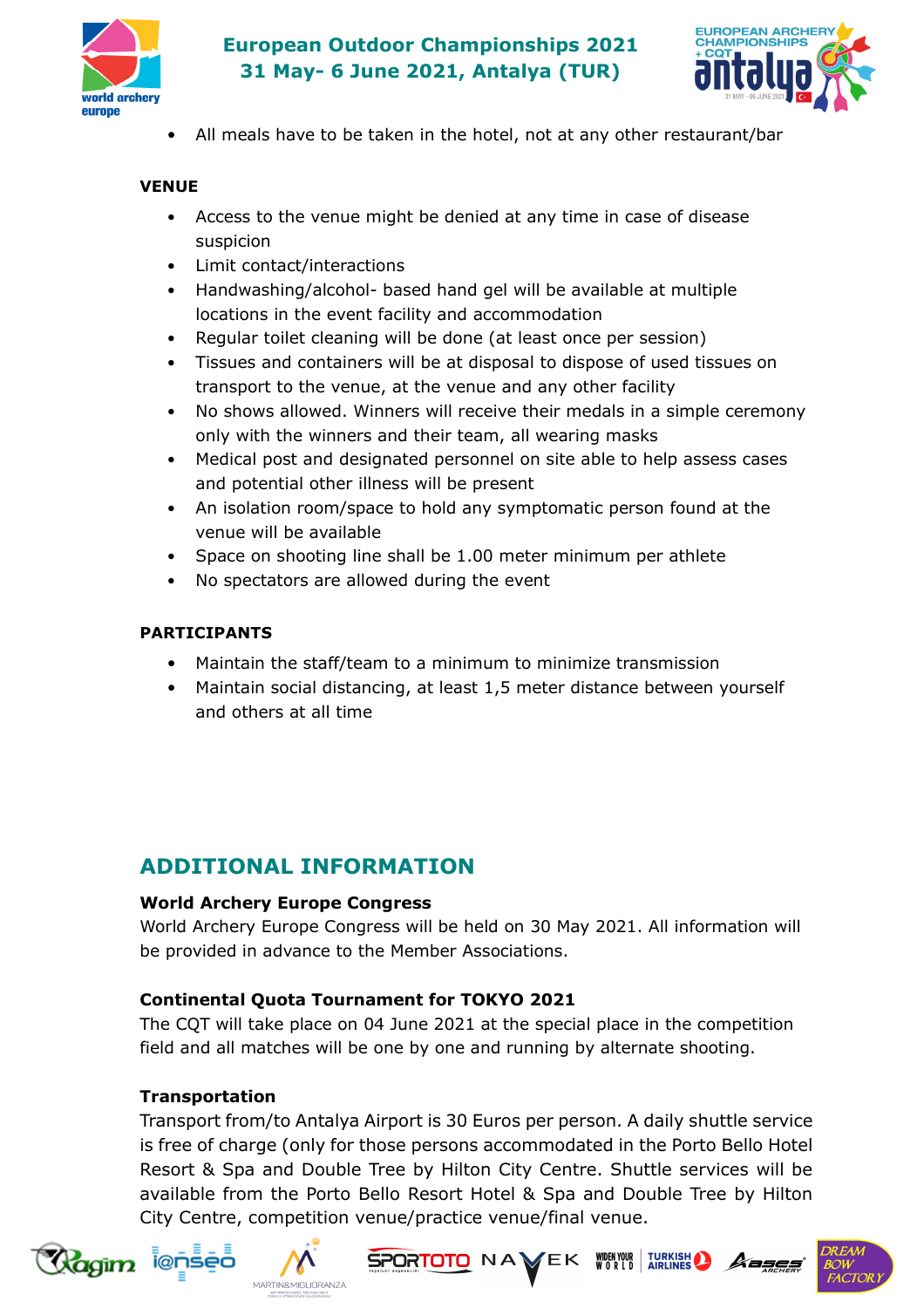

# **European Outdoor Championships 2021 31 May- 6 June 2021, Antalya (TUR)**



• All meals have to be taken in the hotel, not at any other restaurant/bar

#### **VENUE**

- Access to the venue might be denied at any time in case of disease suspicion
- Limit contact/interactions
- Handwashing/alcohol- based hand gel will be available at multiple locations in the event facility and accommodation
- Regular toilet cleaning will be done (at least once per session)
- Tissues and containers will be at disposal to dispose of used tissues on transport to the venue, at the venue and any other facility
- No shows allowed. Winners will receive their medals in a simple ceremony only with the winners and their team, all wearing masks
- Medical post and designated personnel on site able to help assess cases and potential other illness will be present
- An isolation room/space to hold any symptomatic person found at the venue will be available
- Space on shooting line shall be 1.00 meter minimum per athlete
- No spectators are allowed during the event

#### **PARTICIPANTS**

- Maintain the staff/team to a minimum to minimize transmission
- Maintain social distancing, at least 1,5 meter distance between yourself and others at all time

# **ADDITIONAL INFORMATION**

#### **World Archery Europe Congress**

World Archery Europe Congress will be held on 30 May 2021. All information will be provided in advance to the Member Associations.

#### **Continental Quota Tournament for TOKYO 2021**

The CQT will take place on 04 June 2021 at the special place in the competition field and all matches will be one by one and running by alternate shooting.

### **Transportation**

Transport from/to Antalya Airport is 30 Euros per person. A daily shuttle service is free of charge (only for those persons accommodated in the Porto Bello Hotel Resort & Spa and Double Tree by Hilton City Centre. Shuttle services will be available from the Porto Bello Resort Hotel & Spa and Double Tree by Hilton City Centre, competition venue/practice venue/final venue.









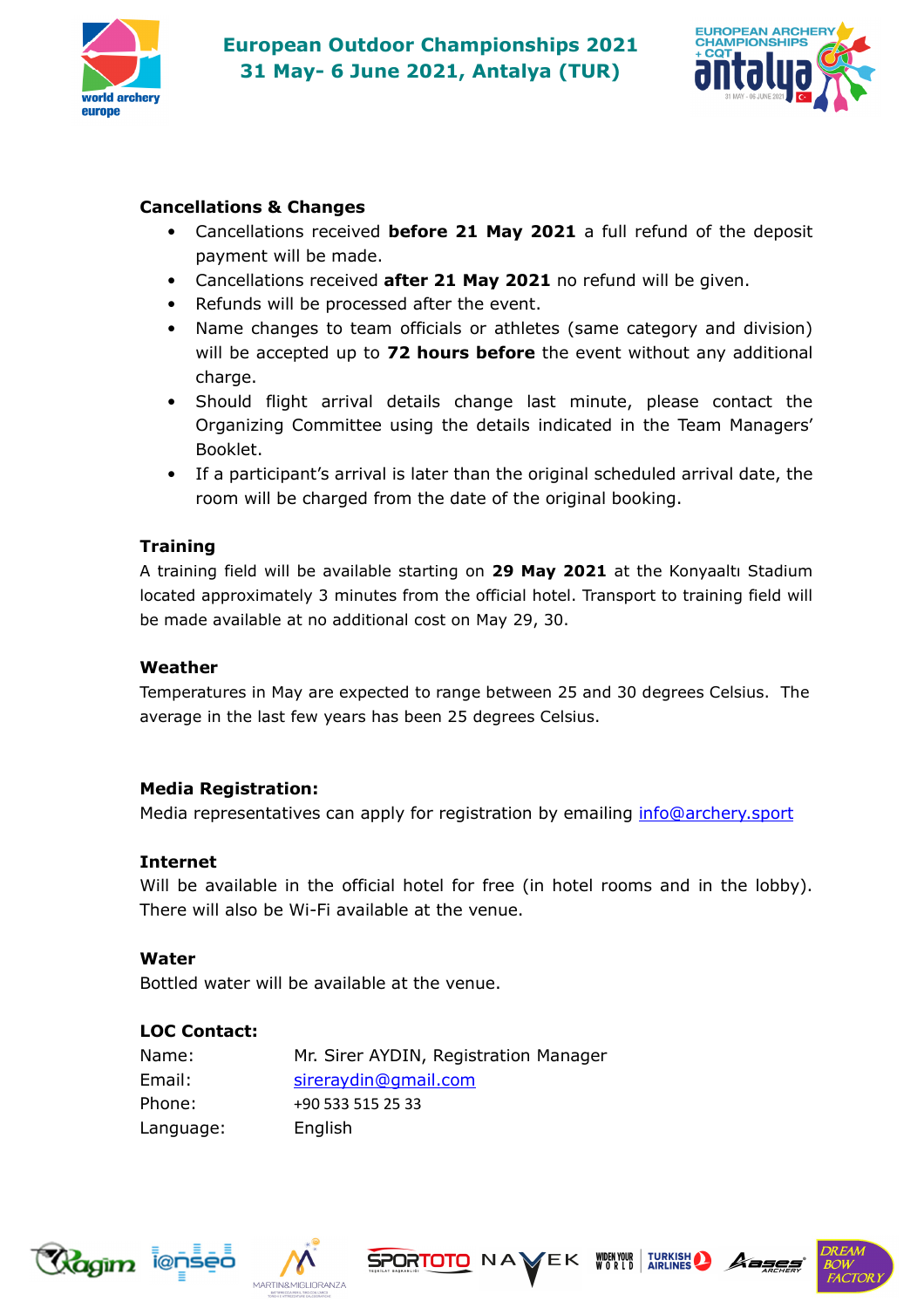



#### **Cancellations & Changes**

- Cancellations received **before 21 May 2021** a full refund of the deposit payment will be made.
- Cancellations received **after 21 May 2021** no refund will be given.
- Refunds will be processed after the event.
- Name changes to team officials or athletes (same category and division) will be accepted up to **72 hours before** the event without any additional charge.
- Should flight arrival details change last minute, please contact the Organizing Committee using the details indicated in the Team Managers' Booklet.
- If a participant's arrival is later than the original scheduled arrival date, the room will be charged from the date of the original booking.

#### **Training**

A training field will be available starting on **29 May 2021** at the Konyaaltı Stadium located approximately 3 minutes from the official hotel. Transport to training field will be made available at no additional cost on May 29, 30.

#### **Weather**

Temperatures in May are expected to range between 25 and 30 degrees Celsius. The average in the last few years has been 25 degrees Celsius.

#### **Media Registration:**

Media representatives can apply for registration by emailing info@archery.sport

#### **Internet**

Will be available in the official hotel for free (in hotel rooms and in the lobby). There will also be Wi-Fi available at the venue.

#### **Water**

Bottled water will be available at the venue.

#### **LOC Contact:**

| Name:     | Mr. Sirer AYDIN, Registration Manager |
|-----------|---------------------------------------|
| Email:    | sireraydin@qmail.com                  |
| Phone:    | +90 533 515 25 33                     |
| Language: | English                               |